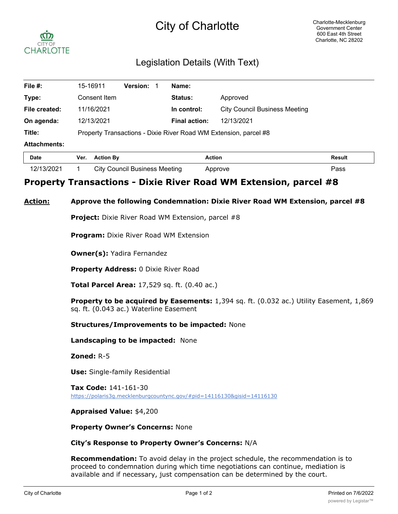# City of Charlotte



# Legislation Details (With Text)

| File #:             |                                                                  | 15-16911         | <b>Version:</b>               |  | Name:                |                                      |               |
|---------------------|------------------------------------------------------------------|------------------|-------------------------------|--|----------------------|--------------------------------------|---------------|
| Type:               |                                                                  | Consent Item     |                               |  | Status:              | Approved                             |               |
| File created:       |                                                                  | 11/16/2021       |                               |  | In control:          | <b>City Council Business Meeting</b> |               |
| On agenda:          |                                                                  | 12/13/2021       |                               |  | <b>Final action:</b> | 12/13/2021                           |               |
| Title:              | Property Transactions - Dixie River Road WM Extension, parcel #8 |                  |                               |  |                      |                                      |               |
| <b>Attachments:</b> |                                                                  |                  |                               |  |                      |                                      |               |
| <b>Date</b>         | Ver.                                                             | <b>Action By</b> |                               |  |                      | <b>Action</b>                        | <b>Result</b> |
| 12/13/2021          |                                                                  |                  | City Council Business Meeting |  |                      | Approve                              | Pass          |

# **Property Transactions - Dixie River Road WM Extension, parcel #8**

## **Action: Approve the following Condemnation: Dixie River Road WM Extension, parcel #8**

**Project:** Dixie River Road WM Extension, parcel #8

**Program:** Dixie River Road WM Extension

**Owner(s):** Yadira Fernandez

**Property Address:** 0 Dixie River Road

**Total Parcel Area:** 17,529 sq. ft. (0.40 ac.)

**Property to be acquired by Easements:** 1,394 sq. ft. (0.032 ac.) Utility Easement, 1,869 sq. ft. (0.043 ac.) Waterline Easement

**Structures/Improvements to be impacted:** None

**Landscaping to be impacted:** None

**Zoned:** R-5

**Use:** Single-family Residential

**Tax Code:** 141-161-30 https://polaris3g.mecklenburgcountync.gov/#pid=14116130&gisid=14116130

## **Appraised Value:** \$4,200

## **Property Owner's Concerns:** None

## **City's Response to Property Owner's Concerns:** N/A

**Recommendation:** To avoid delay in the project schedule, the recommendation is to proceed to condemnation during which time negotiations can continue, mediation is available and if necessary, just compensation can be determined by the court.